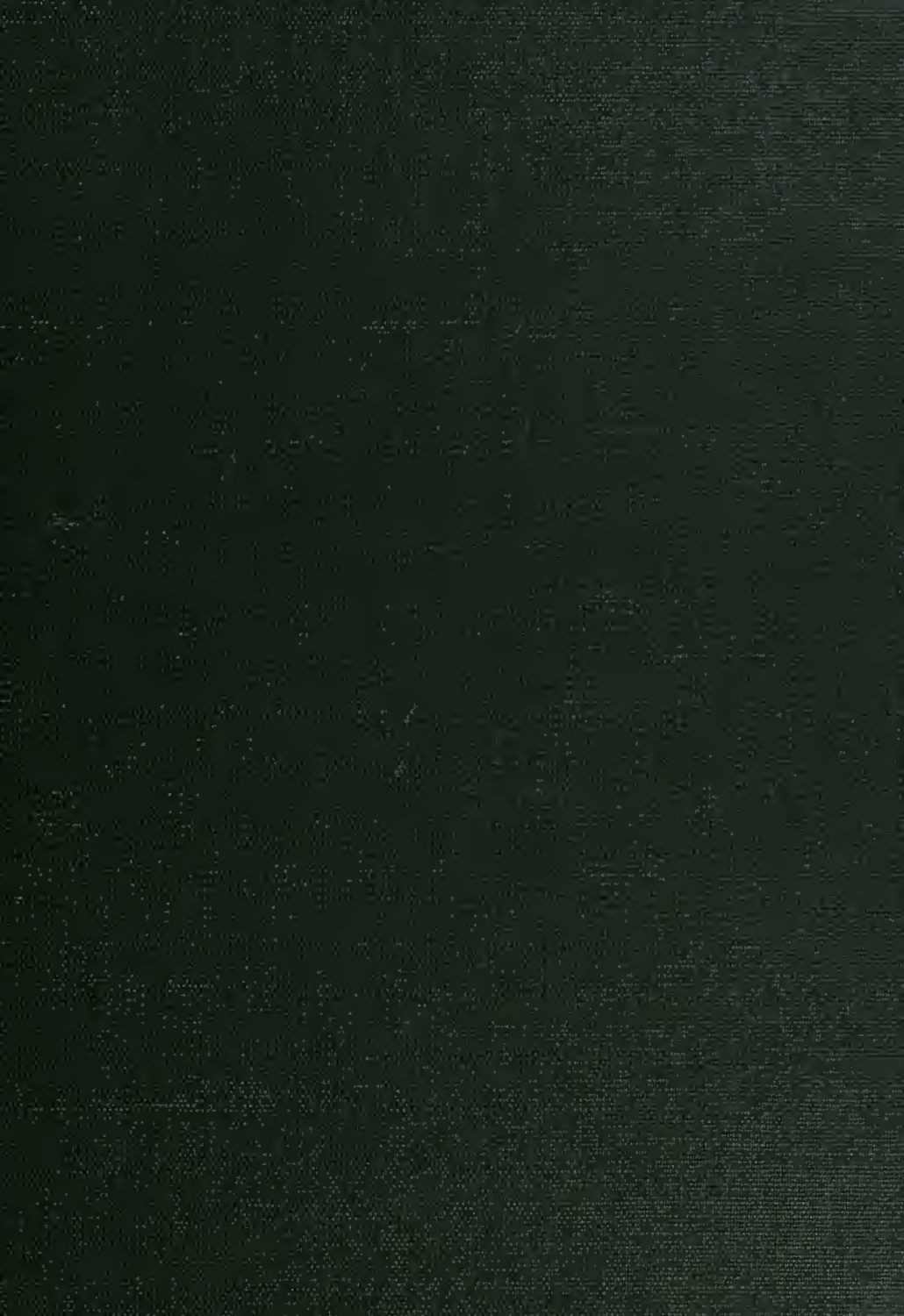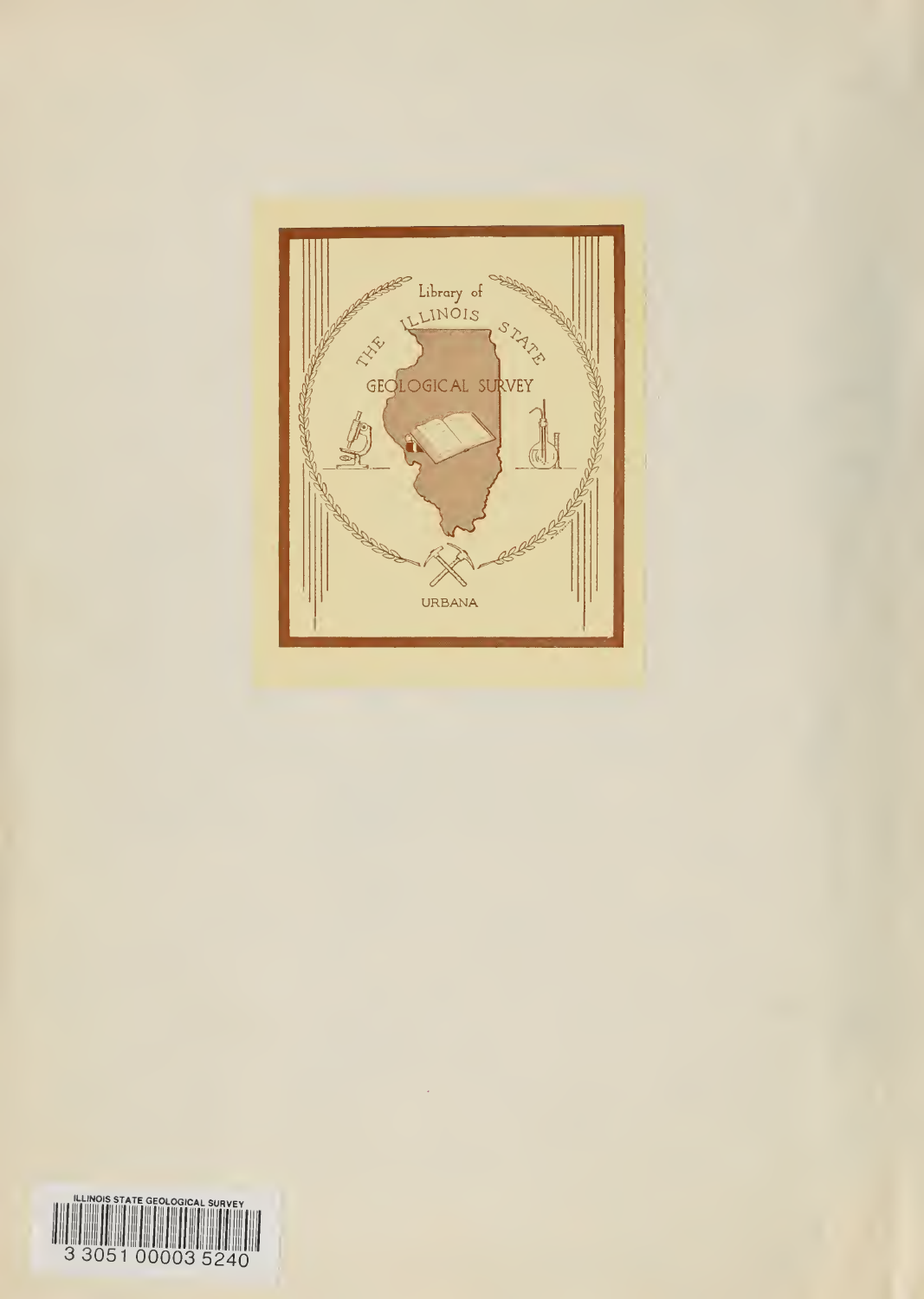

Ŷ,

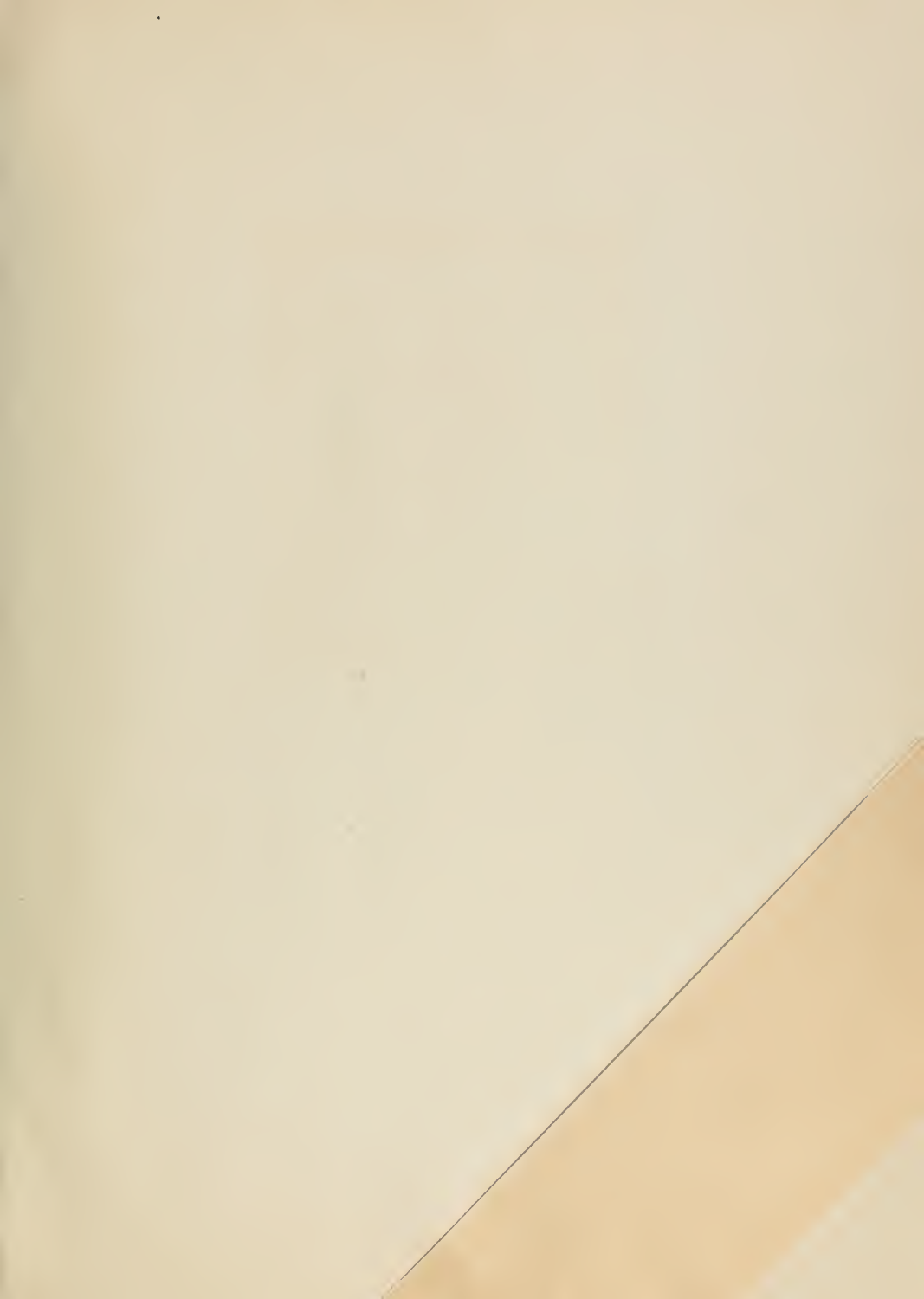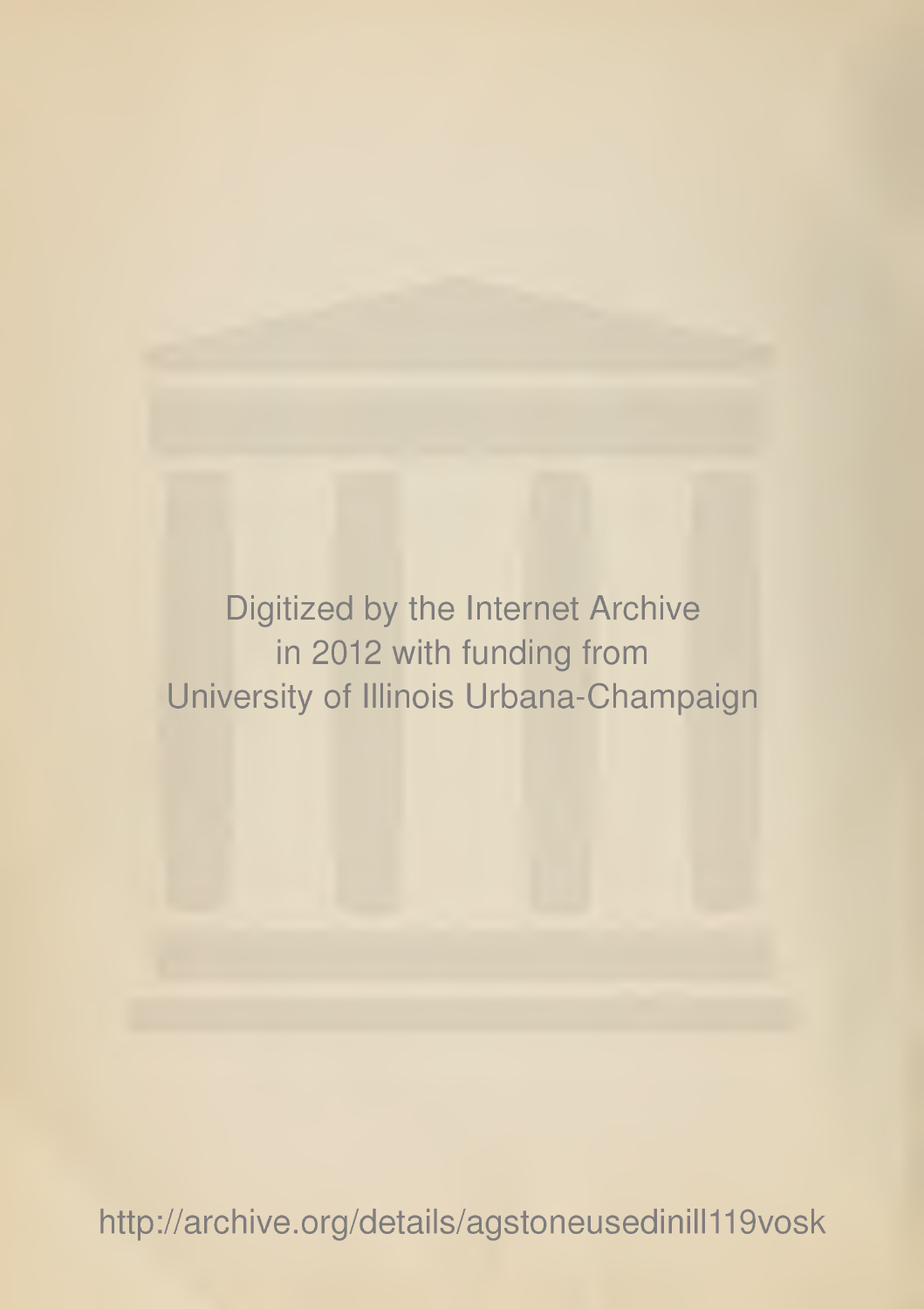Digitized by the Internet Archive in 2012 with funding from University of Illinois Urbana-Champaign

http://archive.org/details/agstoneusedinill119vosk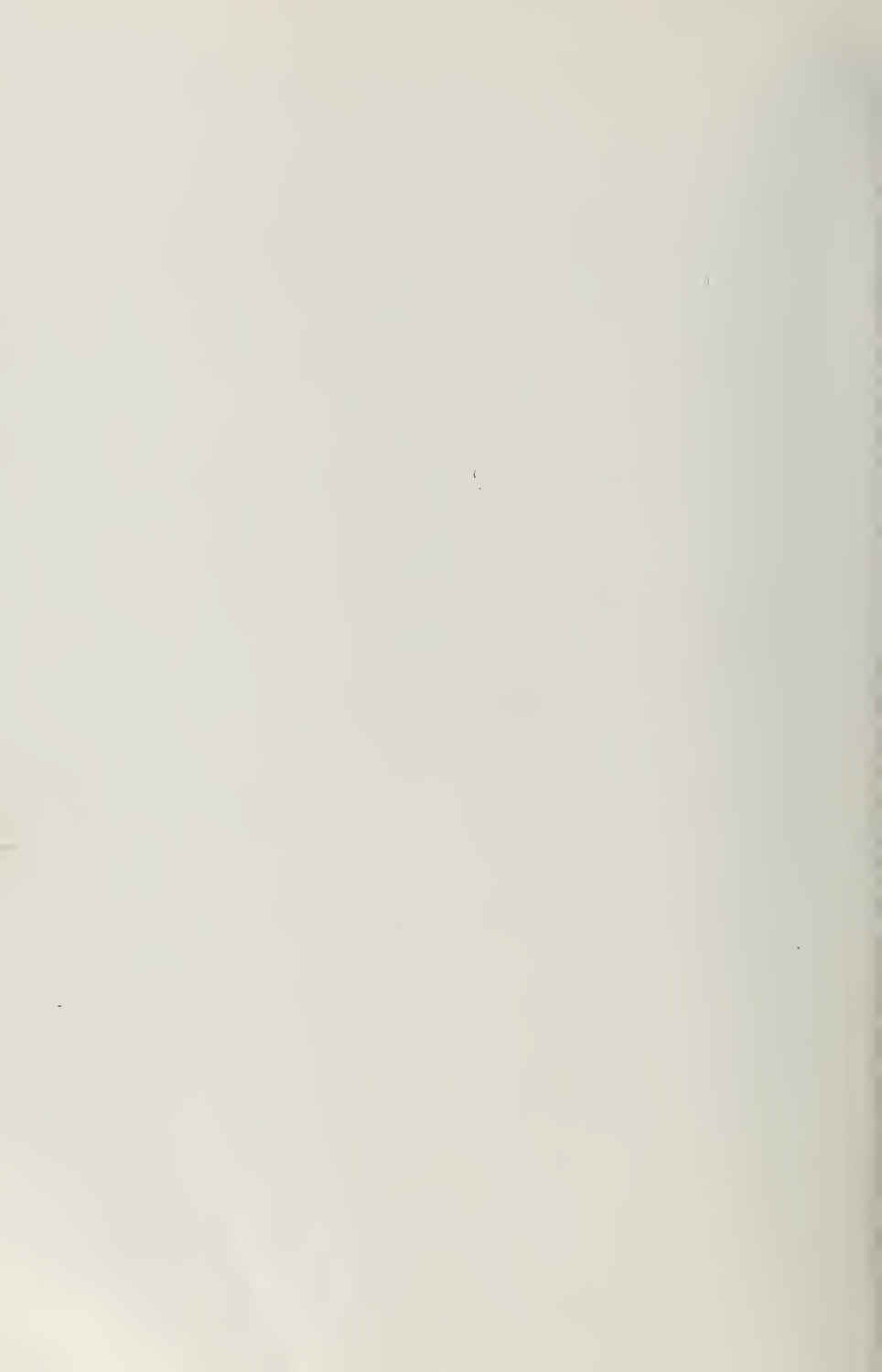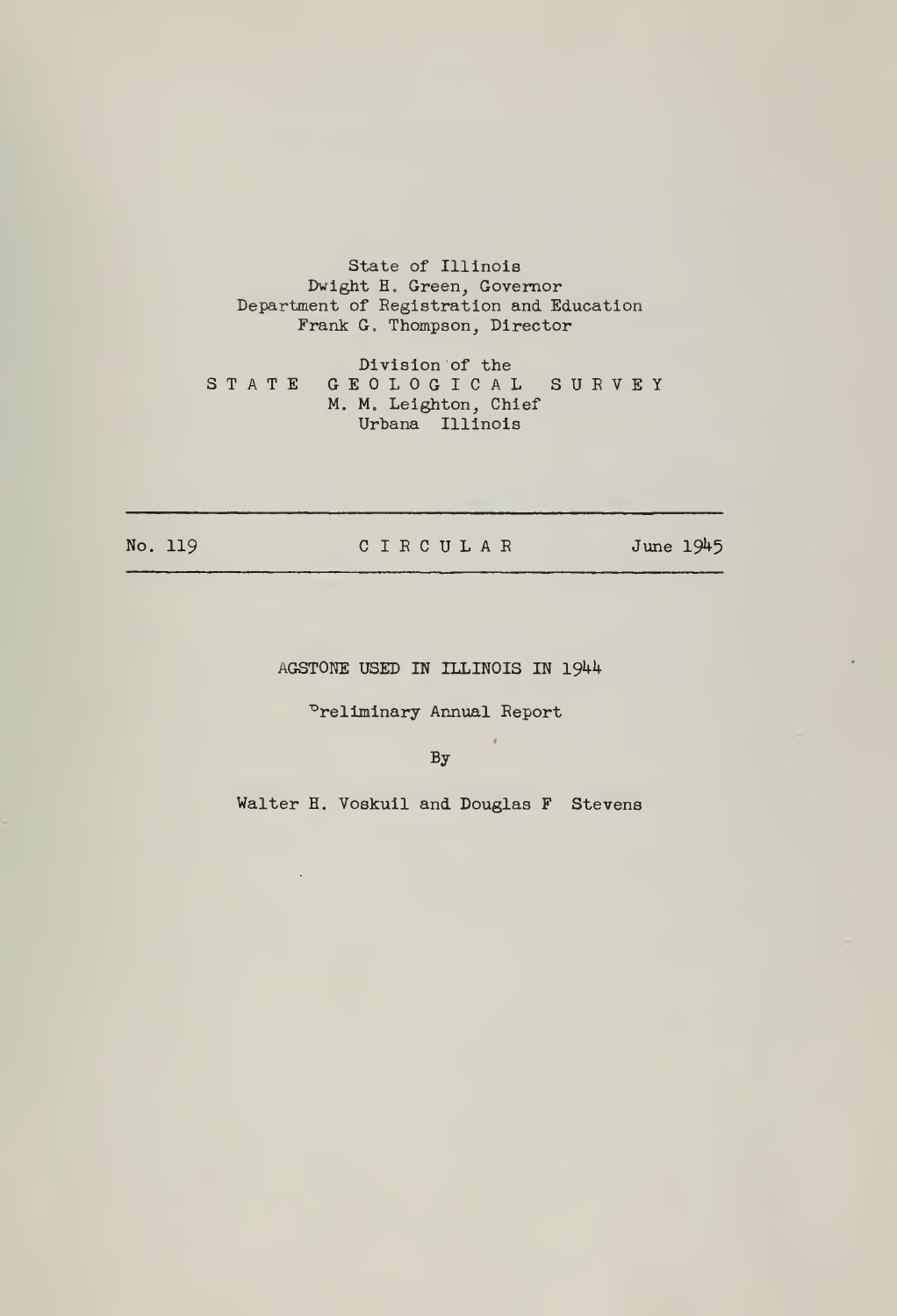State of Illinois Dwight H. Green, Governor Department of Registration and Education Frank G. Thompson, Director

Division of the STATE GEOLOGICAL SURVEY M. M. Leighton, Chief Urbana Illinois

No. 119 CIRCULAR June 1945

AGSTONE USED IN ILLINOIS IN 1944

Preliminary Annual Report

By

 $\bar{t}$ 

Walter H. Voskuil and Douglas F Stevens

 $\mathcal{L}$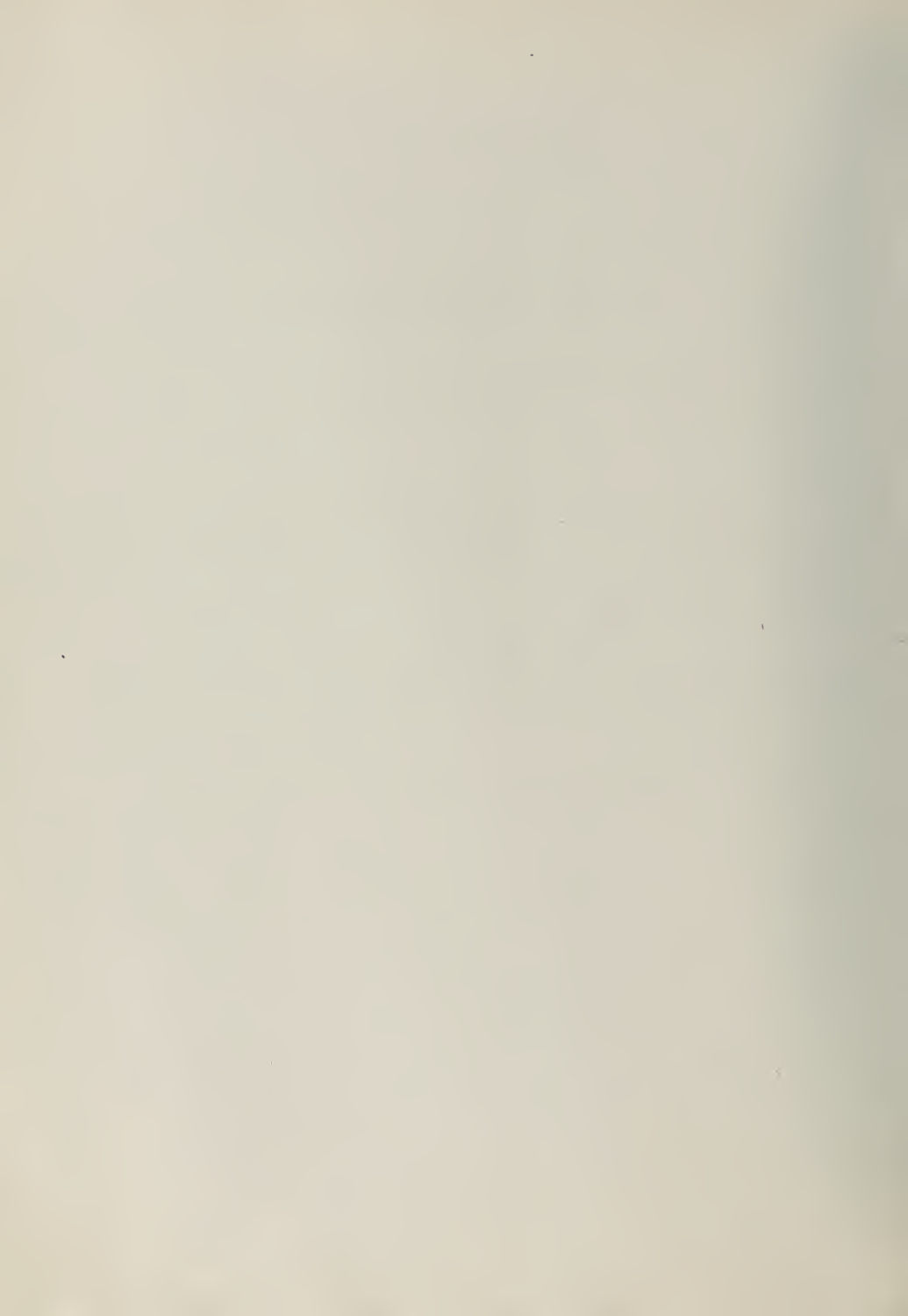$\epsilon$  $\mathcal{L}^{\text{max}}_{\text{max}}$  and  $\mathcal{L}^{\text{max}}_{\text{max}}$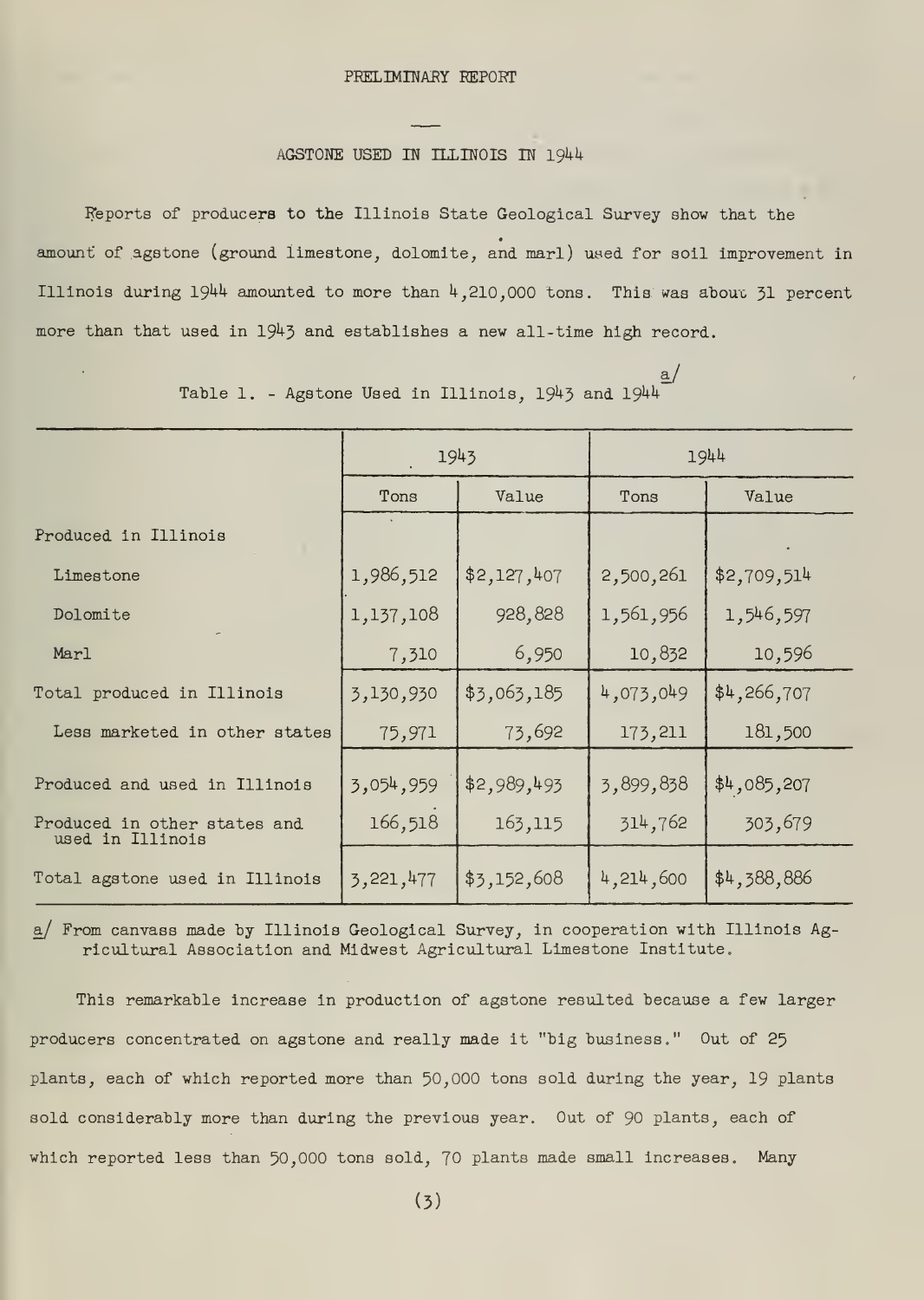## AGSTONE USED IN ILLINOIS IN 1941+

Reports of producers to the Illinois State Geological Survey show that the amount of agstone (ground limestone, dolomite, and marl) used for soil improvement in Illinois during 1944 amounted to more than 4,210,000 tons. This was abouc 31 percent more than that used in 1943 and establishes a new all-time high record.

1943 1944 Tons Value Tons Value Produced in Illinois Limestone 1,986,512 \$2,127,407 [2,500,261 |\$2,709,514] Dolomite 1,137,108 928,828 1,561,956 1,546,597 Marl 7,310 6,950 10,832 10,596 Total produced in Illinois 3,130,930 \$3,063,185 4,073,049 \$4,266,707 Less marketed in other states |  $75,971$  |  $73,692$  |  $173,211$  |  $181,500$ Produced and used in Illinois  $\begin{array}{|l} 3,054,959 \\ \end{array}$   $\uparrow$  \$2,989,493  $\begin{array}{|l} 3,899,838 \\ \end{array}$   $\uparrow$  \$4,085,207 Produced in other states and used in Illinois 166,518 | 163,115 | 314,762 | 303,679 Total agstone used in Illinois  $\left[3,221,477 \right]$  \$3,152,608  $\left[4,214,600 \right]$  \$4,388,886

a/ Table 1. - Agstone Used in Illinois, 1943 and 1944

a/ From canvass made by Illinois Geological Survey, in cooperation with Illinois Agricultural Association and Midwest Agricultural Limestone Institute.

This remarkable increase in production of agstone resulted because a few larger producers concentrated on agstone and really made it "big business." Out of 25 plants, each of which reported more than 50,000 tons sold during the year, 19 plants sold considerably more than during the previous year. Out of 90 plants, each of which reported less than 50,000 tons sold, 70 plants made small increases. Many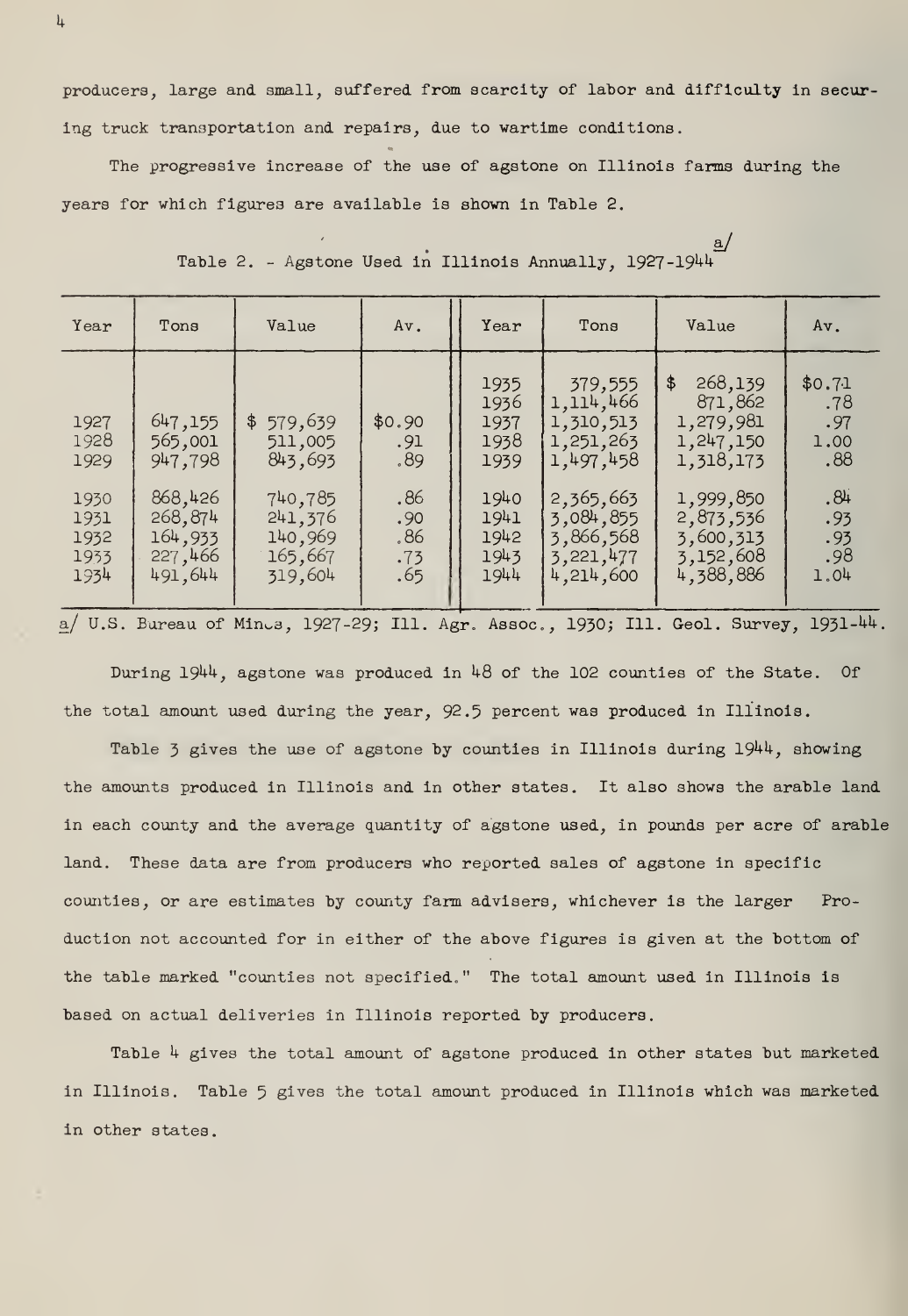producers, large and small, suffered from scarcity of labor and difficulty in securing truck transportation and repairs, due to wartime conditions.

The progressive increase of the use of agstone on Illinois farms during the years for which figures are available is shown in Table 2.

| Year                                                         | Tons                                                                                 | Value                                                                                  | Av.                                                     | Year                                                                         | Tons                                                                                                                         | Value                                                                                                                            | Av.                                                                     |
|--------------------------------------------------------------|--------------------------------------------------------------------------------------|----------------------------------------------------------------------------------------|---------------------------------------------------------|------------------------------------------------------------------------------|------------------------------------------------------------------------------------------------------------------------------|----------------------------------------------------------------------------------------------------------------------------------|-------------------------------------------------------------------------|
| 1927<br>1928<br>1929<br>1930<br>1931<br>1932<br>1933<br>1934 | 647,155<br>565,001<br>947,798<br>868,426<br>268,874<br>164,933<br>227,466<br>491,644 | \$579,639<br>511,005<br>843,693<br>740,785<br>241,376<br>140,969<br>165,667<br>319,604 | \$0.90<br>.91<br>.89<br>.86<br>.90<br>.86<br>.73<br>.65 | 1935<br>1936<br>1937<br>1938<br>1939<br>1940<br>1941<br>1942<br>1943<br>1944 | 379,555<br>1,114,466<br>1,310,513<br>1,251,263<br>1,497,458<br>2,365,663<br>3,084,855<br>3,866,568<br>3,221,477<br>4,214,600 | \$<br>268,139<br>871,862<br>1,279,981<br>1,247,150<br>1,318,173<br>1,999,850<br>2,873,536<br>3,600,313<br>3,152,608<br>4,388,886 | \$0.71<br>.78<br>.97<br>1.00<br>.88<br>.84<br>.93<br>.93<br>.98<br>1.04 |

a)<br>Table 2. - Agstone Used in Illinois Annually, 1927-1944

 $a/$  U.S. Bureau of Min $\circ$ a, 1927-29; Ill. Agr. Assoc., 1930; Ill. Geol. Survey, 1931-44. During  $1944$ , agstone was produced in  $48$  of the 102 counties of the State. Of

the total amount used during the year, 92.5 percent was produced in Illinois.

Table 3 gives the use of agstone by counties in Illinois during  $1944$ , showing the amounts produced in Illinois and in other states. It also shows the arable land in each county and the average quantity of agstone used, in pounds per acre of arable land. These data are from producers who reported sales of agstone in specific counties, or are estimates by county farm advisers, whichever is the larger Production not accounted for in either of the above figures is given at the bottom of the table marked "counties not specified." The total amount used in Illinois is based on actual deliveries in Illinois reported by producers.

Table  $4$  gives the total amount of agstone produced in other states but marketed in Illinois. Table <sup>5</sup> gives the total amount produced in Illinois which was marketed in other states.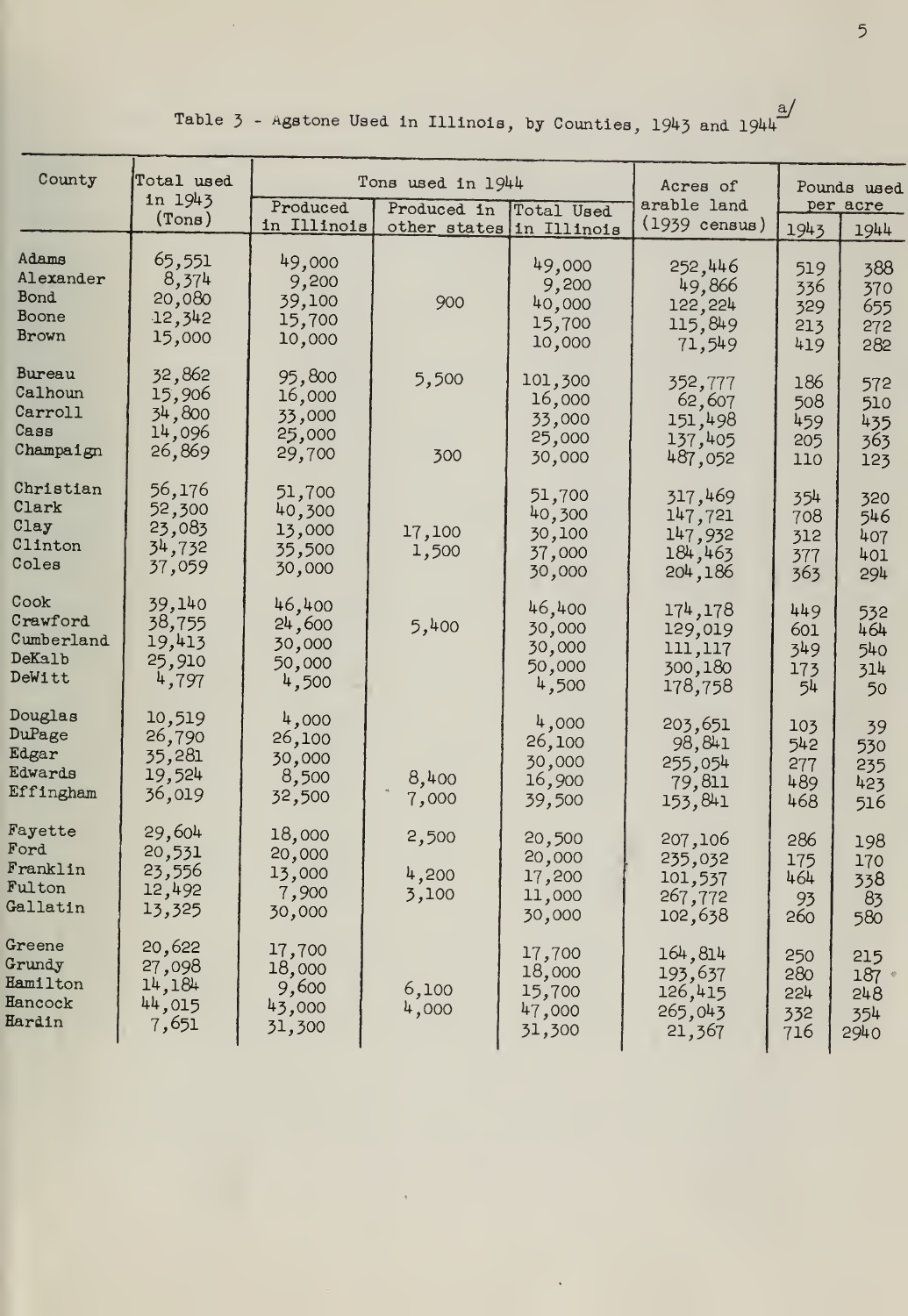## Table 3 - Agstone Used in Illinois, by Counties,  $1943$  and  $1944$

 $\hat{\mathcal{A}}$ 

| County                                              | Total used<br>in 1943<br>$(T$ ons)             | Tons used in 1944                                                   |                                 |                                                 | Acres of                                            |                                         | Pounds used                                   |
|-----------------------------------------------------|------------------------------------------------|---------------------------------------------------------------------|---------------------------------|-------------------------------------------------|-----------------------------------------------------|-----------------------------------------|-----------------------------------------------|
|                                                     |                                                | Produced                                                            | Produced in                     | <b>Total Used</b>                               | arable land<br>$(1939$ census)                      |                                         | per acre                                      |
| Adams<br>Alexander<br>Bond<br>Boone<br><b>Brown</b> | 65,551<br>8,374<br>20,080<br>12,342<br>15,000  | <u>in Illinois</u><br>49,000<br>9,200<br>39,100<br>15,700<br>10,000 | other states in Illinois<br>900 | 49,000<br>9,200<br>40,000<br>15,700<br>10,000   | 252,446<br>49,866<br>122,224<br>115,849<br>71,549   | 1943<br>519<br>336<br>329<br>213<br>419 | 1944<br>388<br>370<br>655<br>272<br>282       |
| Bureau<br>Calhoun<br>Carroll<br>Cass<br>Champaign   | 32,862<br>15,906<br>34,800<br>14,096<br>26,869 | 95,800<br>16,000<br>33,000<br>25,000<br>29,700                      | 5,500<br>300                    | 101,300<br>16,000<br>33,000<br>25,000<br>30,000 | 352,777<br>62,607<br>151,498<br>137,405<br>487,052  | 186<br>508<br>459<br>205<br>110         | 572<br>510<br>435<br>363<br>123               |
| Christian<br>Clark<br>Clay<br>Clinton<br>Coles      | 56,176<br>52,300<br>23,083<br>34,732<br>37,059 | 51,700<br>40,300<br>13,000<br>35,500<br>30,000                      | 17,100<br>1,500                 | 51,700<br>40,300<br>30,100<br>37,000<br>30,000  | 317,469<br>147,721<br>147,932<br>184,463<br>204,186 | 354<br>708<br>312<br>377<br>363         | 320<br>546<br>407<br>401<br>294               |
| Cook<br>Crawford<br>Cumberland<br>DeKalb<br>DeWitt  | 39,140<br>38,755<br>19,413<br>25,910<br>4,797  | 46,400<br>24,600<br>30,000<br>50,000<br>4,500                       | 5,400                           | 46,400<br>30,000<br>30,000<br>50,000<br>4,500   | 174,178<br>129,019<br>111,117<br>300,180<br>178,758 | 449<br>601<br>349<br>173<br>54          | 532<br>464<br>540<br>314<br>50                |
| Douglas<br>DuPage<br>Edgar<br>Edwards<br>Effingham  | 10,519<br>26,790<br>35,281<br>19,524<br>36,019 | 4,000<br>26,100<br>30,000<br>8,500<br>32,500                        | 8,400<br>7,000                  | 4,000<br>26,100<br>30,000<br>16,900<br>39,500   | 203,651<br>98,841<br>255,054<br>79,811<br>153,841   | 103<br>542<br>277<br>489<br>468         | 39<br>530<br>235<br>423<br>516                |
| Fayette<br>Ford<br>Franklin<br>Fulton<br>Gallatin   | 29,604<br>20,531<br>23,556<br>12,492<br>13,325 | 18,000<br>20,000<br>13,000<br>7,900<br>30,000                       | 2,500<br>4,200<br>3,100         | 20,500<br>20,000<br>17,200<br>11,000<br>30,000  | 207,106<br>235,032<br>101,537<br>267,772<br>102,638 | 286<br>175<br>464<br>93<br>260          | 198<br>170<br>338<br>83<br>580                |
| Greene<br>Grundy<br>Hamilton<br>Hancock<br>Hardin   | 20,622<br>27,098<br>14,184<br>44,015<br>7,651  | 17,700<br>18,000<br>9,600<br>43,000<br>31,300                       | 6,100<br>4,000                  | 17,700<br>18,000<br>15,700<br>47,000<br>31,300  | 164,814<br>193,637<br>126,415<br>265,043<br>21,367  | 250<br>280<br>224<br>332<br>716         | 215<br>$187$ $^{\circ}$<br>248<br>354<br>2940 |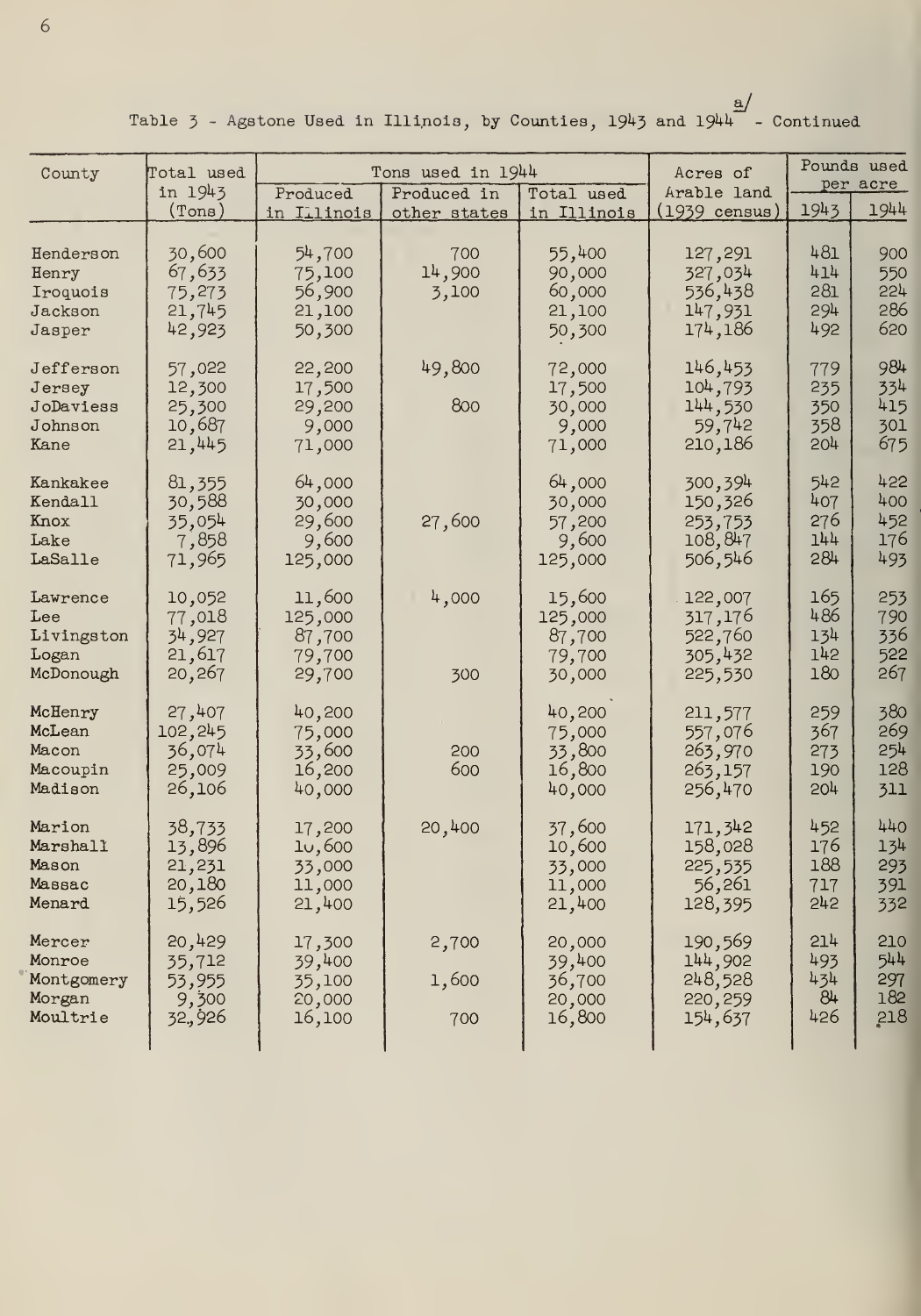a/ Table 3 - Agatone Uaed in Illinois, by Counties, 19I+3 and 1944 - Continued

| County                                                               | Total used                                      |                                                 | Tons used in 1944           |                                                 | Pounds used<br>Acres of<br>per acre                  |                                 |                                 |
|----------------------------------------------------------------------|-------------------------------------------------|-------------------------------------------------|-----------------------------|-------------------------------------------------|------------------------------------------------------|---------------------------------|---------------------------------|
|                                                                      | in 1943<br>$(\texttt{Tons})$                    | Produced<br>in Illinois                         | Produced in<br>other states | Total used<br>in Illinois                       | Arable land<br>$(1939$ census)                       | 1943                            | 1944                            |
| Henderson<br>Henry<br>Iroquois<br>Jackson<br>Jasper                  | 30,600<br>67,633<br>75,273<br>21,745<br>42,923  | 54,700<br>75,100<br>56,900<br>21,100<br>50,300  | 700<br>14,900<br>3,100      | 55,400<br>90,000<br>60,000<br>21,100<br>50,300  | 127,291<br>327,034<br>536,438<br>147,931<br>174,186  | 481<br>414<br>281<br>294<br>492 | 900<br>550<br>224<br>286<br>620 |
| Jefferson<br>Jersey<br>JoDaviess<br>Johnson<br>Kane                  | 57,022<br>12,300<br>25,300<br>10,687<br>21,445  | 22,200<br>17,500<br>29,200<br>9,000<br>71,000   | 49,800<br>800               | 72,000<br>17,500<br>30,000<br>9,000<br>71,000   | 146,453<br>104,793<br>144,530<br>59,742<br>210,186   | 779<br>235<br>350<br>358<br>204 | 984<br>334<br>415<br>301<br>675 |
| Kankakee<br>Kendall<br>Knox<br>Lake<br>LaSalle                       | 81,355<br>30,588<br>35,054<br>7,858<br>71,965   | 64,000<br>30,000<br>29,600<br>9,600<br>125,000  | 27,600                      | 64,000<br>30,000<br>57,200<br>9,600<br>125,000  | 300,394<br>150,326<br>253,753<br>108,847<br>506,546  | 542<br>407<br>276<br>144<br>284 | 422<br>400<br>452<br>176<br>493 |
| Lawrence<br>$\operatorname{Lee}$<br>Livingston<br>Logan<br>McDonough | 10,052<br>77,018<br>34,927<br>21,617<br>20,267  | 11,600<br>125,000<br>87,700<br>79,700<br>29,700 | 4,000<br>300                | 15,600<br>125,000<br>87,700<br>79,700<br>30,000 | 122,007<br>317,176<br>522,760<br>305,432<br>225,530  | 165<br>486<br>134<br>142<br>180 | 253<br>790<br>336<br>522<br>267 |
| McHenry<br>McLean<br>Macon<br>Macoupin<br>Madison                    | 27,407<br>102,245<br>36,074<br>25,009<br>26,106 | 40,200<br>75,000<br>33,600<br>16,200<br>40,000  | 200<br>600                  | 40,200<br>75,000<br>33,800<br>16,800<br>40,000  | 211,577<br>557,076<br>263,970<br>263,157<br>256,470  | 259<br>367<br>273<br>190<br>204 | 380<br>269<br>254<br>128<br>311 |
| Marion<br>Marshall<br>Mason<br>Massac<br>Menard                      | 38,733<br>13,896<br>21,231<br>20,180<br>15,526  | 17,200<br>10,600<br>33,000<br>11,000<br>21,400  | 20,400                      | 37,600<br>10,600<br>33,000<br>11,000<br>21,400  | 171,342<br>158,028<br>225,535<br>56,261<br>128,395   | 452<br>176<br>188<br>717<br>575 | 440<br>134<br>293<br>391<br>332 |
| Mercer<br>Monroe<br>Montgomery<br>Morgan<br>Moultrie                 | 20,429<br>35,712<br>53,955<br>9,300<br>32.,926  | 17,300<br>39,400<br>35,100<br>20,000<br>16,100  | 2,700<br>1,600<br>700       | 20,000<br>39,400<br>36,700<br>20,000<br>16,800  | 190,569<br>144,902<br>248,528<br>220, 259<br>154,637 | 214<br>493<br>434<br>84<br>426  | 210<br>544<br>297<br>182<br>218 |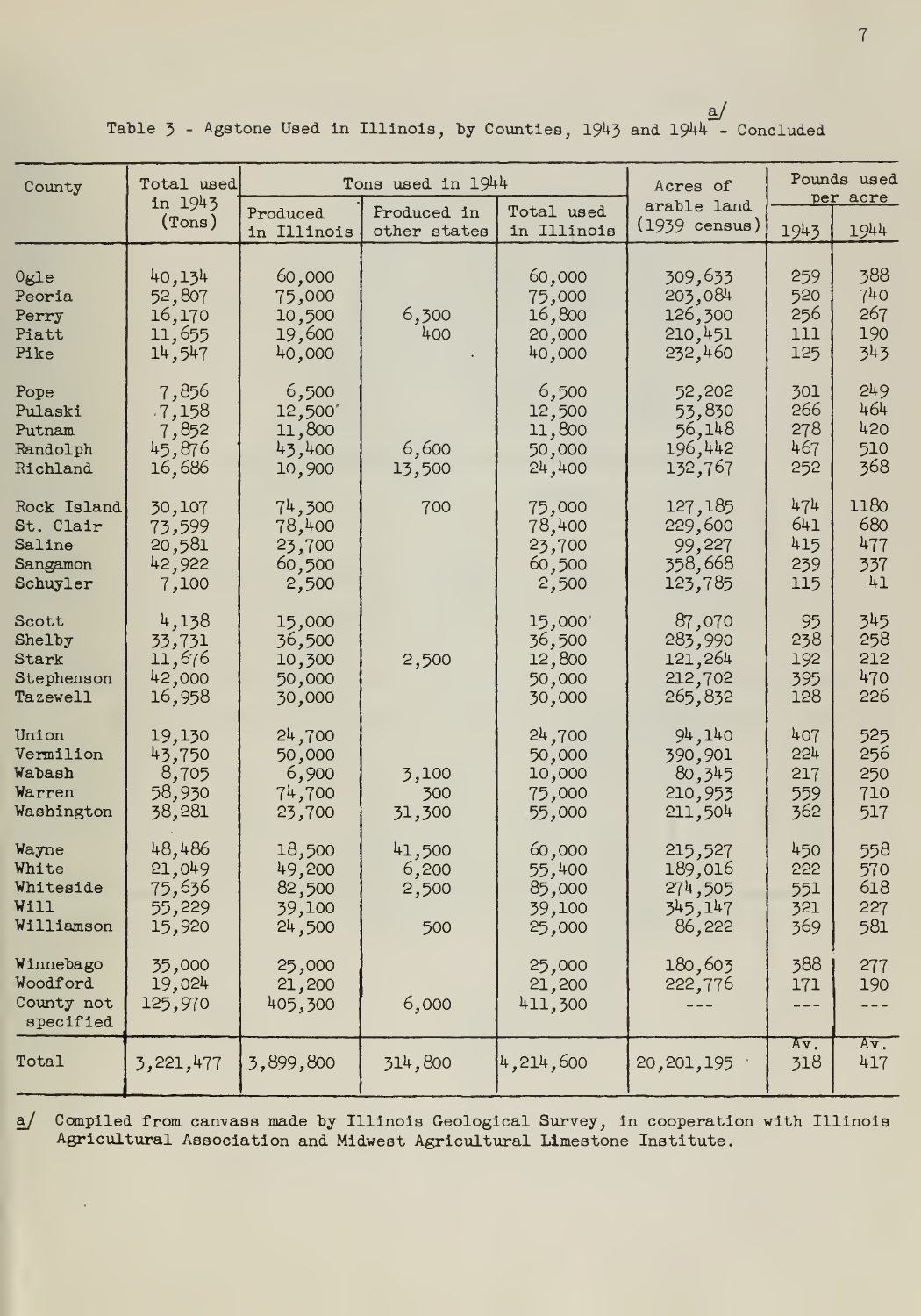| County                                                     | Total used                                     |                                                | Tons used in 1944               | Acres of                                       |                                                     | Pounds used                     |                                 |
|------------------------------------------------------------|------------------------------------------------|------------------------------------------------|---------------------------------|------------------------------------------------|-----------------------------------------------------|---------------------------------|---------------------------------|
|                                                            | in 1943<br>$(\text{Tons})$                     | Produced<br>in Illinois                        | Produced in<br>other states     | Total used<br>in Illinois                      | arable land<br>$(1939 \text{ census})$              | 1943                            | per acre<br>1944                |
| Ogle<br>Peoria<br>Perry<br>Piatt<br>Pike                   | 40,134<br>52,807<br>16,170<br>11,655<br>14,547 | 60,000<br>75,000<br>10,500<br>19,600<br>40,000 | 6,300<br>400                    | 60,000<br>75,000<br>16,800<br>20,000<br>40,000 | 309,633<br>203,084<br>126,300<br>210,451<br>232,460 | 259<br>520<br>256<br>111<br>125 | 388<br>740<br>267<br>190<br>343 |
| Pope<br>Pulaski<br>Putnam<br>Randolph<br>Richland          | 7,856<br>$-7,158$<br>7,852<br>45,876<br>16,686 | 6,500<br>12,500<br>11,800<br>43,400<br>10,900  | 6,600<br>13,500                 | 6,500<br>12,500<br>11,800<br>50,000<br>24,400  | 52,202<br>53,830<br>56,148<br>196,442<br>132,767    | 301<br>266<br>278<br>467<br>252 | 249<br>464<br>420<br>510<br>368 |
| Rock Island<br>St. Clair<br>Saline<br>Sangamon<br>Schuyler | 30,107<br>73,599<br>20,581<br>42,922<br>7,100  | 74,300<br>78,400<br>23,700<br>60,500<br>2,500  | 700                             | 75,000<br>78,400<br>23,700<br>60,500<br>2,500  | 127,185<br>229,600<br>99,227<br>358,668<br>123,785  | 474<br>641<br>415<br>239<br>115 | 1180<br>680<br>477<br>337<br>41 |
| Scott<br>Shelby<br>Stark<br>Stephenson<br>Tazewell         | 4,138<br>33,731<br>11,676<br>42,000<br>16,958  | 15,000<br>36,500<br>10,300<br>50,000<br>30,000 | 2,500                           | 15,000<br>36,500<br>12,800<br>50,000<br>30,000 | 87,070<br>283,990<br>121,264<br>212,702<br>265,832  | 95<br>238<br>192<br>395<br>128  | 345<br>258<br>212<br>470<br>226 |
| Union<br>Vermilion<br>Wabash<br>Warren<br>Washington       | 19,130<br>43,750<br>8,705<br>58,930<br>38,281  | 24,700<br>50,000<br>6,900<br>74,700<br>23,700  | 3,100<br>300<br>31,300          | 24,700<br>50,000<br>10,000<br>75,000<br>55,000 | 94,140<br>390,901<br>80,345<br>210,953<br>211,504   | 407<br>224<br>217<br>559<br>362 | 525<br>256<br>250<br>710<br>517 |
| Wayne<br>White<br>Whiteside<br>Will<br>Williamson          | 48,486<br>21,049<br>75,636<br>55,229<br>15,920 | 18,500<br>49,200<br>82,500<br>39,100<br>24,500 | 41,500<br>6,200<br>2,500<br>500 | 60,000<br>55,400<br>85,000<br>39,100<br>25,000 | 215,527<br>189,016<br>274,505<br>345,147<br>86,222  | 450<br>222<br>551<br>321<br>369 | 558<br>570<br>618<br>227<br>581 |
| Winnebago<br>Woodford<br>County not<br>specified           | 35,000<br>19,024<br>125,970                    | 25,000<br>21,200<br>405,300                    | 6,000                           | 25,000<br>21,200<br>411,300                    | 180,603<br>222,776                                  | 388<br>171<br>---               | 277<br>190<br>---               |
| Total                                                      | 3,221,477                                      | 3,899,800                                      | 314,800                         | 4,214,600                                      | 20, 201, 195                                        | Av.<br>318                      | Av.<br>417                      |

a/ Table 3 - Agstone Used in Illinois, by Counties, 1943 and 1944 - Concluded

a/ Compiled from canvass made by Illinois Geological Survey, in cooperation with Illinois Agricultural Association and Midwest Agricultural Limestone Institute.

 $\epsilon$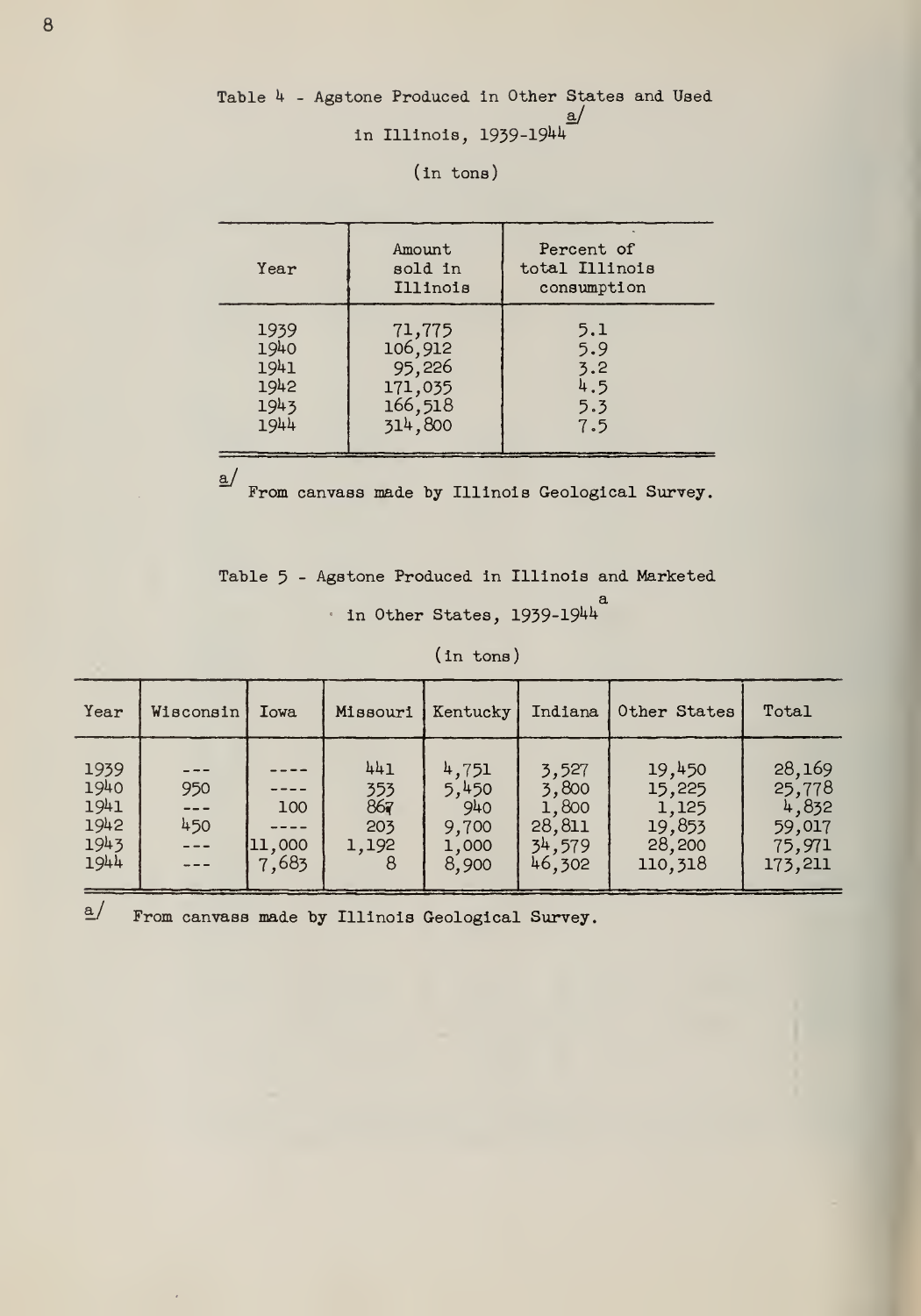## Table 4 - Agstone Produced in Other States and Used a/ in Illinois, 1939–1944 –

|  | $(in \; tons)$ |  |
|--|----------------|--|
|--|----------------|--|

| Year | Amount<br>sold in<br>Illinois | Percent of<br>total Illinois<br>consumption |
|------|-------------------------------|---------------------------------------------|
| 1939 | 71,775                        | 5.1                                         |
| 1940 | 106,912                       | 5.9                                         |
| 1941 | 95,226                        | 3.2                                         |
| 1942 | 171,035                       | 4.5                                         |
| 1943 | 166,518                       | 5.3                                         |
| 1944 | 314,800                       | 7.5                                         |

 $\underline{a}$ 

From canvass made by Illinois Geological Survey,

Table 5 - Agstone Produced in Illinois and Marketed a

in Other States, 1939–1944

|  | $(in \; tons)$ |  |
|--|----------------|--|
|--|----------------|--|

| Year                                         | Wisconsin                                       | Iowa                   | Missouri                          | Kentucky                                         | Indiana                                               | Other States                                             | Total                                                    |
|----------------------------------------------|-------------------------------------------------|------------------------|-----------------------------------|--------------------------------------------------|-------------------------------------------------------|----------------------------------------------------------|----------------------------------------------------------|
| 1939<br>1940<br>1941<br>1942<br>1943<br>1944 | 950<br>$---$<br>450<br>$\frac{1}{2}$<br>$- - -$ | 100<br>11,000<br>7,683 | 441<br>353<br>867<br>203<br>1,192 | 4,751<br>5,450<br>940<br>9,700<br>1,000<br>8,900 | 3,527<br>3,800<br>1,800<br>28,811<br>34,579<br>46,302 | 19,450<br>15,225<br>1,125<br>19,853<br>28,200<br>110,318 | 28,169<br>25,778<br>4,832<br>59,017<br>75,971<br>173,211 |

a/ From canvass made by Illinois Geological Survey.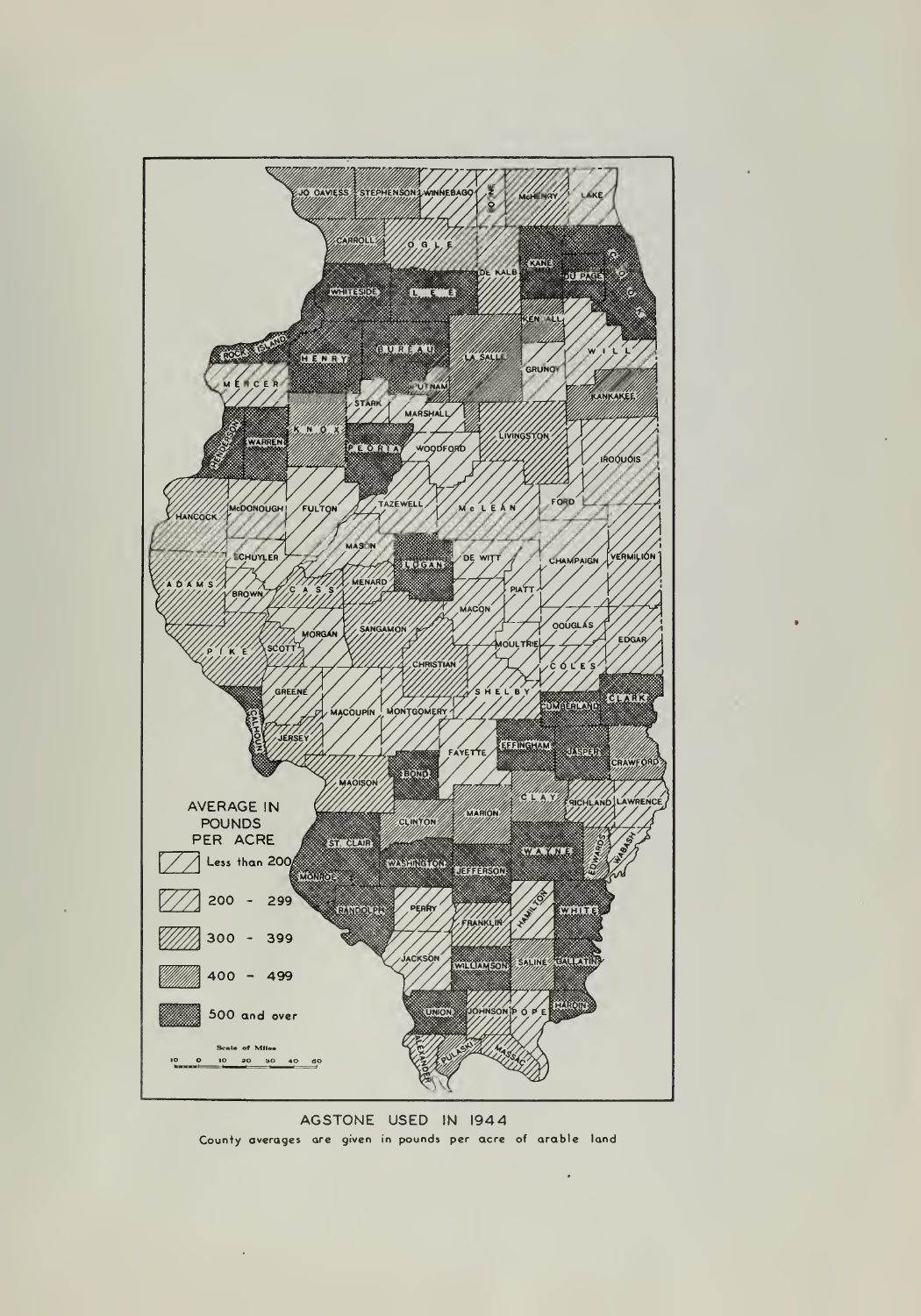

AGSTONE USED IN 1944 County averages are given in pounds per acre of arable land

 $\sim$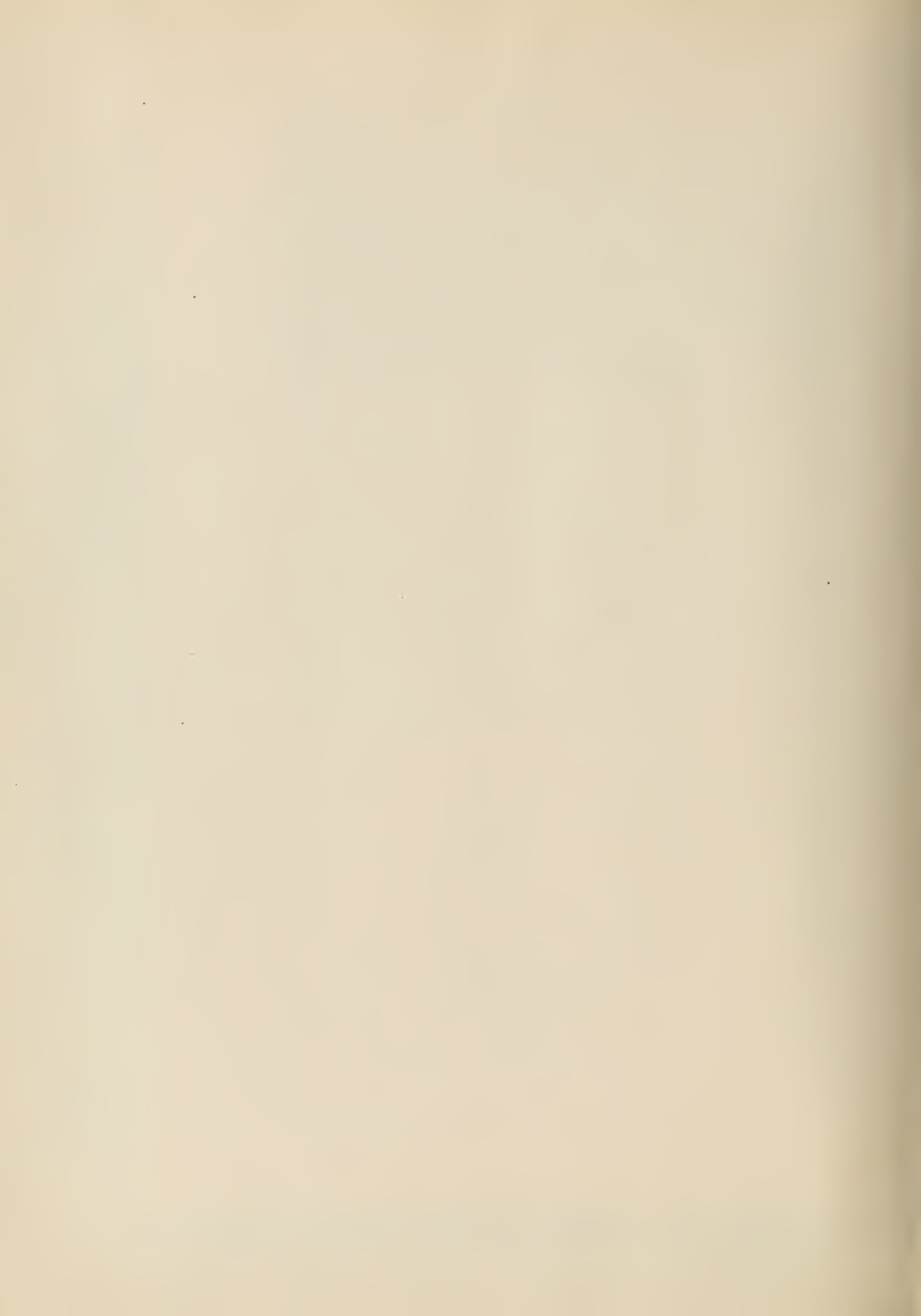**Production of the Second State** 

professional control of the control of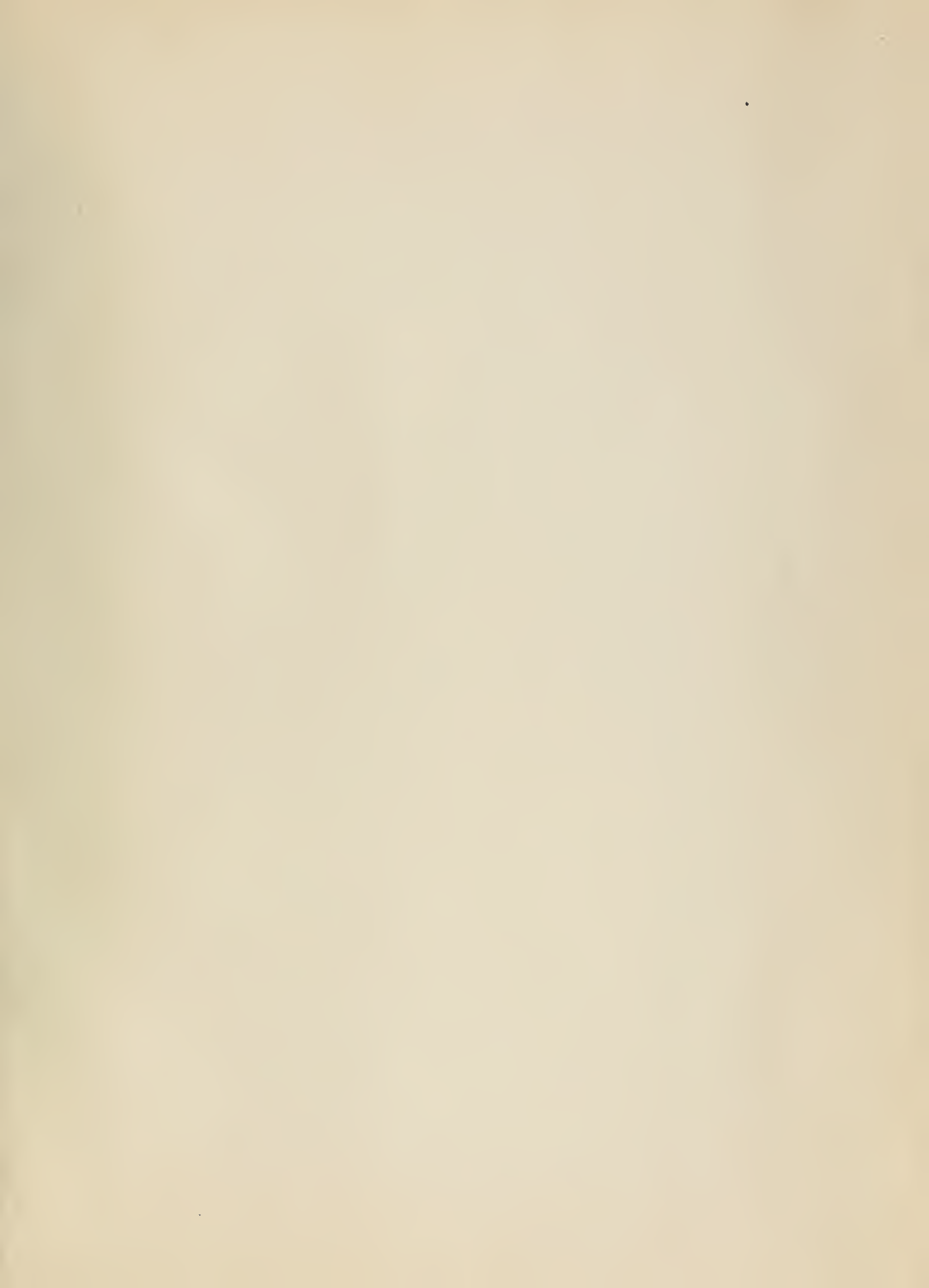$\bar{\gamma}$ 

 $\ddot{\phantom{0}}$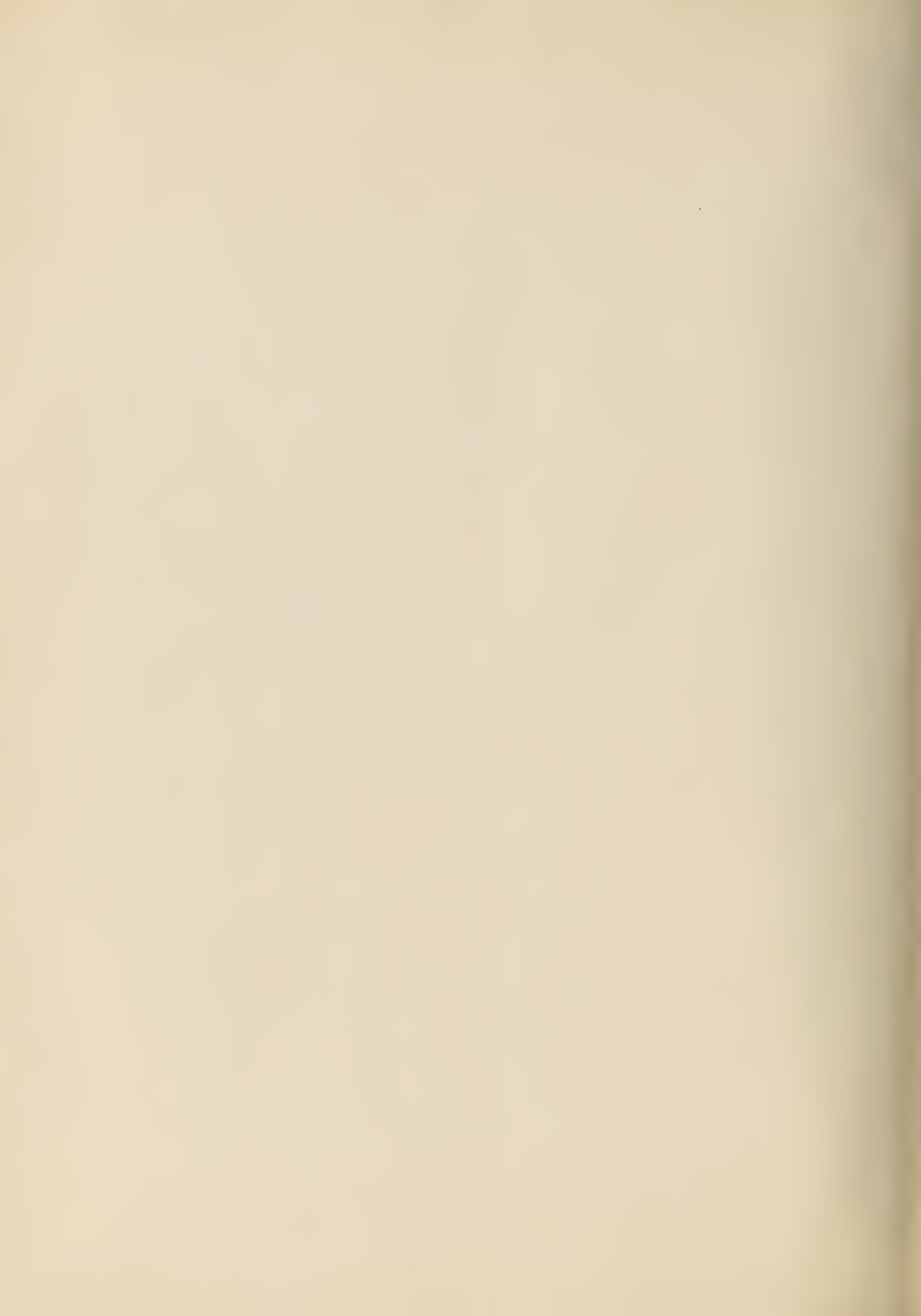$\mathcal{A}^{\mathcal{A}}$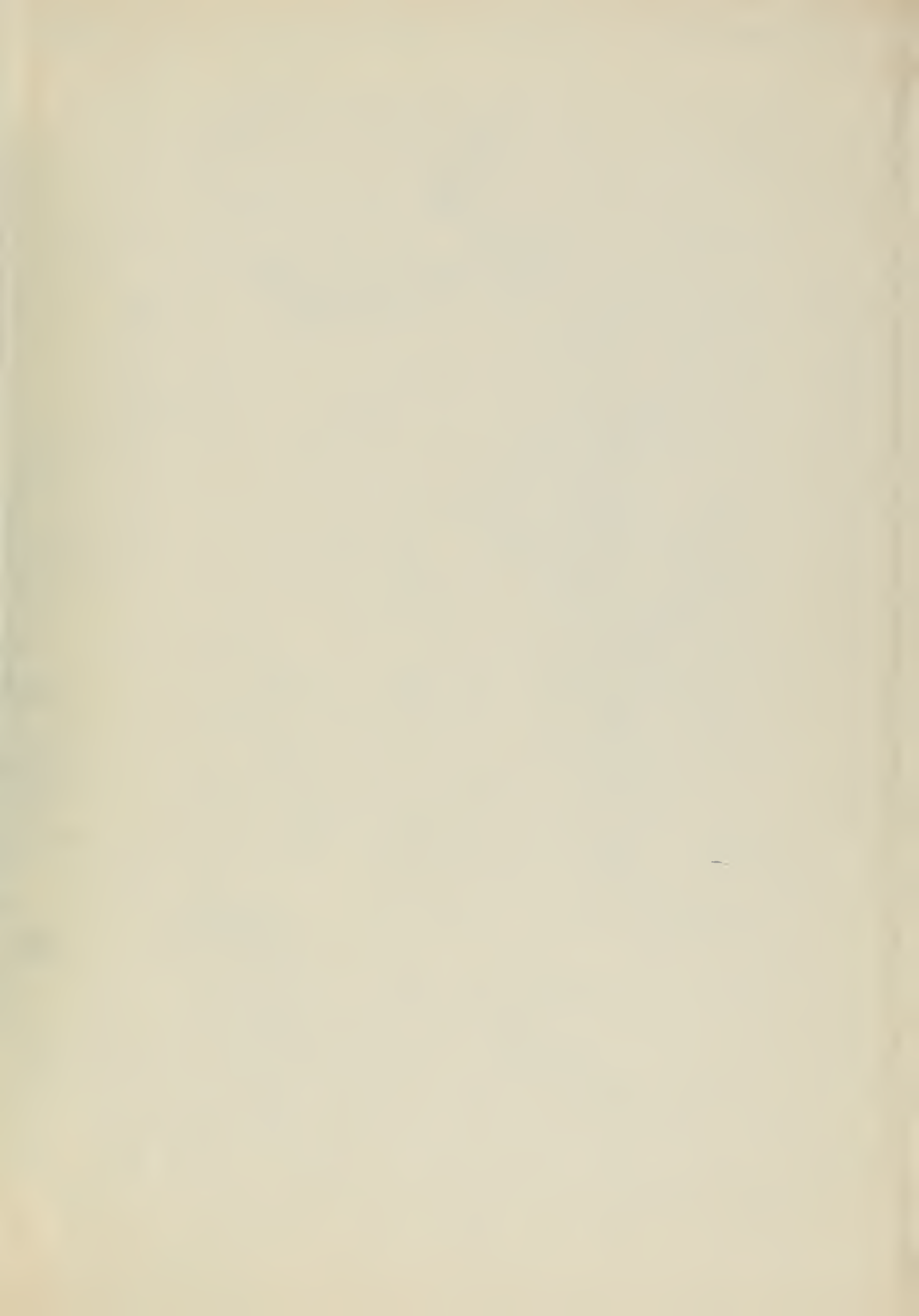